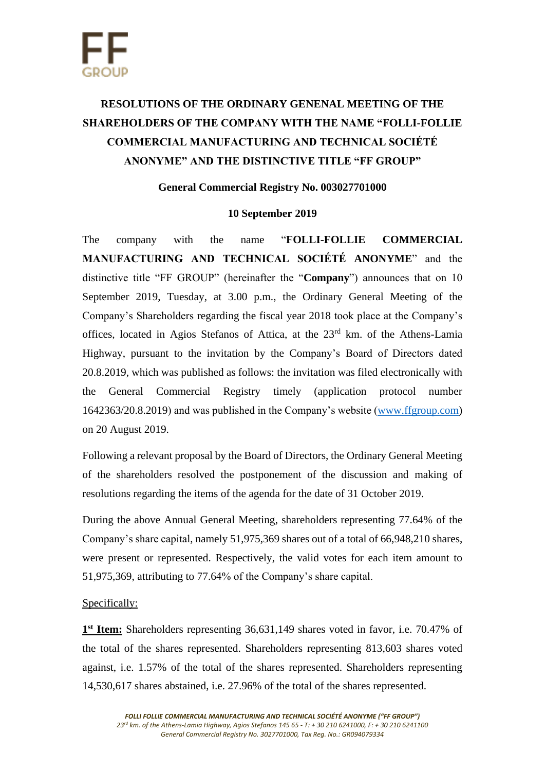## **RESOLUTIONS OF THE ORDINARY GENENAL MEETING OF THE SHAREHOLDERS OF THE COMPANY WITH THE NAME "FOLLI-FOLLIE COMMERCIAL MANUFACTURING AND TECHNICAL SOCIÉTÉ ANONYME" AND THE DISTINCTIVE TITLE "FF GROUP"**

## **General Commercial Registry No. 003027701000**

## **10 September 2019**

The company with the name "**FOLLI-FOLLIE COMMERCIAL MANUFACTURING AND TECHNICAL SOCIÉTÉ ANONYME**" and the distinctive title "FF GROUP" (hereinafter the "**Company**") announces that on 10 September 2019, Tuesday, at 3.00 p.m., the Ordinary General Meeting of the Company's Shareholders regarding the fiscal year 2018 took place at the Company's offices, located in Agios Stefanos of Attica, at the 23<sup>rd</sup> km. of the Athens-Lamia Highway, pursuant to the invitation by the Company's Board of Directors dated 20.8.2019, which was published as follows: the invitation was filed electronically with the General Commercial Registry timely (application protocol number 1642363/20.8.2019) and was published in the Company's website [\(www.ffgroup.com\)](http://www.ffgroup.com/) on 20 August 2019.

Following a relevant proposal by the Board of Directors, the Ordinary General Meeting of the shareholders resolved the postponement of the discussion and making of resolutions regarding the items of the agenda for the date of 31 October 2019.

During the above Annual General Meeting, shareholders representing 77.64% of the Company's share capital, namely 51,975,369 shares out of a total of 66,948,210 shares, were present or represented. Respectively, the valid votes for each item amount to 51,975,369, attributing to 77.64% of the Company's share capital.

## Specifically:

1<sup>st</sup> Item: Shareholders representing 36,631,149 shares voted in favor, i.e. 70.47% of the total of the shares represented. Shareholders representing 813,603 shares voted against, i.e. 1.57% of the total of the shares represented. Shareholders representing 14,530,617 shares abstained, i.e. 27.96% of the total of the shares represented.